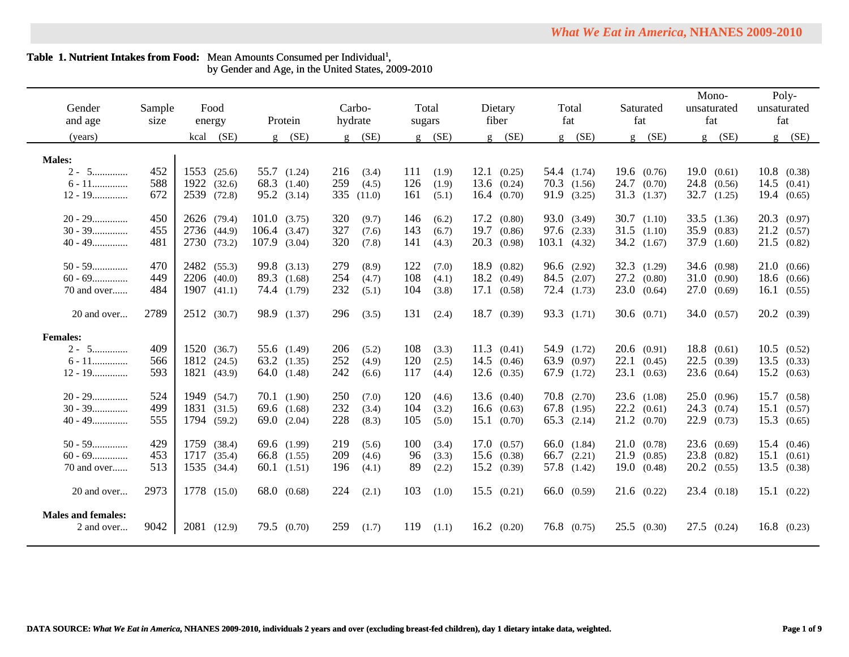| Gender<br>and age                       | Sample<br>size | Food<br>energy  | Protein                        | Carbo-<br>hydrate     | Total<br>sugars              | Dietary<br>fiber                  | Total<br>fat                       | Saturated<br>fat     | Mono-<br>unsaturated<br>fat | Poly-<br>unsaturated<br>fat      |
|-----------------------------------------|----------------|-----------------|--------------------------------|-----------------------|------------------------------|-----------------------------------|------------------------------------|----------------------|-----------------------------|----------------------------------|
| (years)                                 |                | (SE)<br>kcal    | (SE)<br>$\mathfrak{g}$         | $g$ (SE)              | (SE)<br>$\mathbf{g}$         | (SE)<br>$\mathbf{g}$              | $g$ (SE)                           | (SE)<br>$\mathbf{g}$ | (SE)<br>$\mathbf{g}$        | (SE)<br>$\mathbf{g}$             |
| <b>Males:</b>                           |                |                 |                                |                       |                              |                                   |                                    |                      |                             |                                  |
| $2 - 5$                                 | 452            | 1553 (25.6)     | 55.7 (1.24)                    | 216<br>(3.4)          | 111<br>(1.9)                 | $12.1 \quad (0.25)$               | 54.4 (1.74)                        | $19.6 \quad (0.76)$  | 19.0(0.61)                  | $10.8$ $(0.38)$                  |
| $6 - 11$                                | 588            | 1922<br>(32.6)  | 68.3 (1.40)                    | 259<br>(4.5)          | 126<br>(1.9)                 | $13.6$ $(0.24)$                   | $70.3$ $(1.56)$                    | $24.7$ (0.70)        | $24.8$ (0.56)               | 14.5<br>(0.41)                   |
| $12 - 19$                               | 672            | 2539 (72.8)     | $95.2 \quad (3.14)$            | 335<br>(11.0)         | 161<br>(5.1)                 | $16.4 \quad (0.70)$               | 91.9 (3.25)                        | 31.3(1.37)           | 32.7<br>(1.25)              | 19.4(0.65)                       |
|                                         |                |                 |                                |                       |                              |                                   |                                    |                      |                             |                                  |
| $20 - 29$                               | 450            | 2626 (79.4)     | 101.0(3.75)                    | 320<br>(9.7)          | 146<br>(6.2)                 | $17.2 \quad (0.80)$               | 93.0 (3.49)                        | $30.7$ $(1.10)$      | $33.5$ $(1.36)$             | $20.3$ $(0.97)$                  |
| $30 - 39$                               | 455            | 2736 (44.9)     | $106.4$ $(3.47)$               | 327<br>(7.6)          | 143<br>(6.7)                 | 19.7<br>(0.86)                    | $97.6$ $(2.33)$                    | $31.5$ $(1.10)$      | 35.9 (0.83)                 | $21.2 \quad (0.57)$              |
| $40 - 49$                               | 481            | 2730 (73.2)     | $107.9$ (3.04)                 | 320<br>(7.8)          | 141<br>(4.3)                 | 20.3<br>(0.98)                    | $103.1 \quad (4.32)$               | $34.2$ $(1.67)$      | 37.9 (1.60)                 | $21.5$ (0.82)                    |
|                                         |                |                 |                                |                       |                              |                                   |                                    |                      |                             |                                  |
| $50 - 59$                               | 470            | 2482 (55.3)     | 99.8 (3.13)                    | 279<br>(8.9)          | 122<br>(7.0)                 | 18.9<br>(0.82)                    | $96.6$ $(2.92)$                    | $32.3$ $(1.29)$      | 34.6 (0.98)                 | 21.0(0.66)                       |
| $60 - 69$                               | 449            | 2206 (40.0)     | 89.3 (1.68)                    | 254<br>(4.7)          | 108<br>(4.1)                 | 18.2<br>(0.49)                    | 84.5 (2.07)                        | $27.2$ $(0.80)$      | 31.0(0.90)                  | 18.6(0.66)                       |
| 70 and over                             | 484            | $1907$ $(41.1)$ | 74.4 (1.79)                    | 232<br>(5.1)          | 104<br>(3.8)                 | 17.1(0.58)                        | $72.4$ $(1.73)$                    | 23.0<br>(0.64)       | 27.0(0.69)                  | 16.1 (0.55)                      |
| 20 and over                             | 2789           | 2512 (30.7)     | 98.9 (1.37)                    | 296<br>(3.5)          | 131<br>(2.4)                 | $18.7 \quad (0.39)$               | 93.3 (1.71)                        | $30.6$ $(0.71)$      | 34.0 (0.57)                 | 20.2 (0.39)                      |
|                                         |                |                 |                                |                       |                              |                                   |                                    |                      |                             |                                  |
| <b>Females:</b>                         |                |                 |                                |                       |                              |                                   |                                    |                      |                             |                                  |
| $2 - 5$                                 | 409            | 1520 (36.7)     | 55.6 (1.49)                    | 206<br>(5.2)          | 108<br>(3.3)                 | 11.3<br>(0.41)                    | 54.9 (1.72)                        | $20.6$ (0.91)        | 18.8(0.61)                  | 10.5<br>(0.52)                   |
| $6 - 11$                                | 566            | 1812<br>(24.5)  | $63.2$ $(1.35)$                | 252<br>(4.9)          | 120<br>(2.5)                 | 14.5<br>(0.46)                    | 63.9 (0.97)                        | 22.1<br>(0.45)       | $22.5$ (0.39)               | 13.5<br>(0.33)                   |
| $12 - 19$                               | 593            | 1821 (43.9)     | 64.0(1.48)                     | 242<br>(6.6)          | 117<br>(4.4)                 | $12.6$ (0.35)                     | 67.9 (1.72)                        | 23.1<br>(0.63)       | $23.6$ (0.64)               | $15.2 \quad (0.63)$              |
|                                         | 524            | 1949 (54.7)     |                                | 250                   |                              |                                   |                                    | $23.6$ $(1.08)$      | 25.0(0.96)                  |                                  |
| $20 - 29$<br>$30 - 39$                  | 499            | 1831 (31.5)     | $70.1$ $(1.90)$<br>69.6 (1.68) | (7.0)<br>232<br>(3.4) | 120<br>(4.6)<br>104<br>(3.2) | $13.6 \quad (0.40)$<br>16.6(0.63) | $70.8$ $(2.70)$<br>$67.8$ $(1.95)$ | $22.2 \quad (0.61)$  | $24.3$ $(0.74)$             | 15.7<br>(0.58)<br>15.1<br>(0.57) |
| $40 - 49$                               | 555            | 1794 (59.2)     | 69.0 $(2.04)$                  | 228                   | 105<br>(5.0)                 | $15.1 \quad (0.70)$               | $65.3$ $(2.14)$                    | $21.2 \quad (0.70)$  | $22.9$ $(0.73)$             | $15.3$ $(0.65)$                  |
|                                         |                |                 |                                | (8.3)                 |                              |                                   |                                    |                      |                             |                                  |
| $50 - 59$                               | 429            | 1759 (38.4)     | 69.6 (1.99)                    | 219<br>(5.6)          | 100<br>(3.4)                 | 17.0(0.57)                        | 66.0(1.84)                         | 21.0(0.78)           | $23.6 \quad (0.69)$         | 15.4(0.46)                       |
| $60 - 69$                               | 453            | 1717<br>(35.4)  | 66.8 (1.55)                    | 209<br>(4.6)          | 96<br>(3.3)                  | $15.6$ (0.38)                     | 66.7 $(2.21)$                      | 21.9<br>(0.85)       | $23.8$ (0.82)               | 15.1<br>(0.61)                   |
| 70 and over                             | 513            | 1535 (34.4)     | $60.1$ $(1.51)$                | 196<br>(4.1)          | 89<br>(2.2)                  | $15.2 \quad (0.39)$               | 57.8 (1.42)                        | 19.0<br>(0.48)       | $20.2 \quad (0.55)$         | $13.5 \quad (0.38)$              |
|                                         |                |                 |                                |                       |                              |                                   |                                    |                      |                             |                                  |
| 20 and over                             | 2973           | 1778 (15.0)     | 68.0 (0.68)                    | 224<br>(2.1)          | 103<br>(1.0)                 | 15.5(0.21)                        | 66.0(0.59)                         | $21.6$ (0.22)        | $23.4 \quad (0.18)$         | $15.1 \quad (0.22)$              |
| <b>Males and females:</b><br>2 and over | 9042           | 2081 (12.9)     | $79.5$ $(0.70)$                | 259<br>(1.7)          | 119<br>(1.1)                 | $16.2 \quad (0.20)$               | $76.8$ (0.75)                      | 25.5(0.30)           | $27.5$ (0.24)               | $16.8$ (0.23)                    |

### Table 1. Nutrient Intakes from Food: Mean Amounts Consumed per Individual<sup>1</sup>, by Gender and Age, in the United States, 2009-2010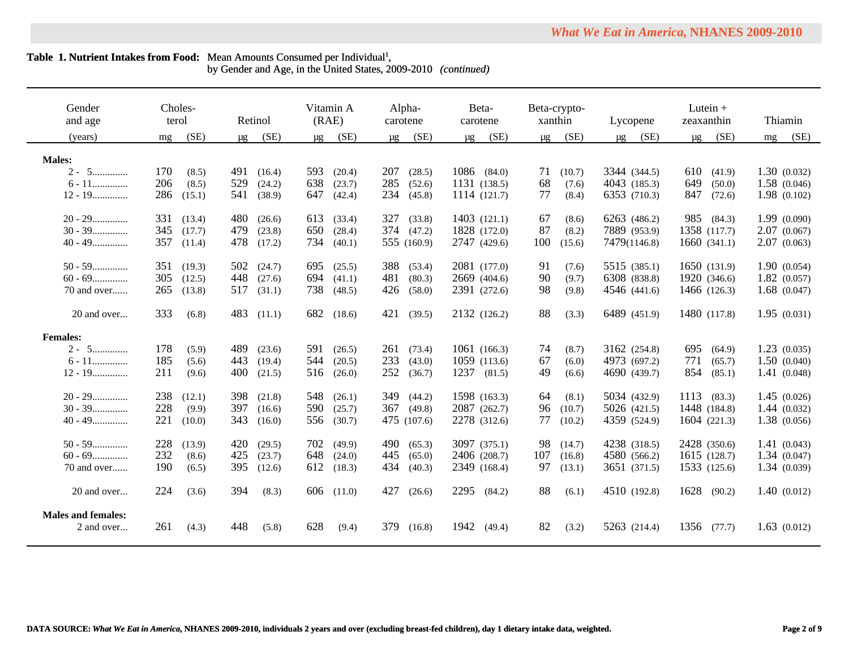by Gender and Age, in the United States, 2009-2010 *(continued)*

| Gender<br>and age         |     | Choles-<br>terol |         | Retinol |     | Vitamin A<br>(RAE) | carotene | Alpha-      |      | Beta-<br>carotene |         | Beta-crypto-<br>xanthin |         | Lycopene     |         | Lutein $+$<br>zeaxanthin |    | Thiamin      |
|---------------------------|-----|------------------|---------|---------|-----|--------------------|----------|-------------|------|-------------------|---------|-------------------------|---------|--------------|---------|--------------------------|----|--------------|
| (years)                   | mg  | (SE)             | $\mu$ g | (SE)    | μg  | (SE)               | $\mu$ g  | (SE)        | μg   | (SE)              | $\mu$ g | (SE)                    | $\mu$ g | (SE)         | $\mu$ g | (SE)                     | mg | (SE)         |
| <b>Males:</b>             |     |                  |         |         |     |                    |          |             |      |                   |         |                         |         |              |         |                          |    |              |
| $2 - 5$                   | 170 | (8.5)            | 491     | (16.4)  | 593 | (20.4)             | 207      | (28.5)      |      | 1086 (84.0)       | 71      | (10.7)                  |         | 3344 (344.5) | 610     | (41.9)                   |    | 1.30(0.032)  |
| $6 - 11$                  | 206 | (8.5)            | 529     | (24.2)  | 638 | (23.7)             | 285      | (52.6)      |      | 1131 (138.5)      | 68      | (7.6)                   |         | 4043 (185.3) | 649     | (50.0)                   |    | 1.58 (0.046) |
| $12 - 19$                 | 286 | (15.1)           | 541     | (38.9)  | 647 | (42.4)             | 234      | (45.8)      |      | 1114 (121.7)      | 77      | (8.4)                   |         | 6353 (710.3) | 847     | (72.6)                   |    | 1.98(0.102)  |
|                           |     |                  |         |         |     |                    |          |             |      |                   |         |                         |         |              |         |                          |    |              |
| $20 - 29$                 | 331 | (13.4)           | 480     | (26.6)  | 613 | (33.4)             | 327      | (33.8)      |      | 1403 (121.1)      | 67      | (8.6)                   |         | 6263 (486.2) |         | 985 (84.3)               |    | 1.99(0.090)  |
| $30 - 39$                 | 345 | (17.7)           | 479     | (23.8)  | 650 | (28.4)             |          | 374 (47.2)  |      | 1828 (172.0)      | 87      | (8.2)                   |         | 7889 (953.9) |         | 1358 (117.7)             |    | 2.07(0.067)  |
| $40 - 49$                 | 357 | (11.4)           | 478     | (17.2)  | 734 | (40.1)             |          | 555 (160.9) |      | 2747 (429.6)      | 100     | (15.6)                  |         | 7479(1146.8) |         | 1660(341.1)              |    | 2.07(0.063)  |
|                           |     |                  |         |         |     |                    |          |             |      |                   |         |                         |         |              |         |                          |    |              |
| $50 - 59$                 | 351 | (19.3)           | 502     | (24.7)  | 695 | (25.5)             | 388      | (53.4)      |      | 2081 (177.0)      | 91      | (7.6)                   |         | 5515 (385.1) |         | 1650 (131.9)             |    | 1.90(0.054)  |
| $60 - 69$                 | 305 | (12.5)           | 448     | (27.6)  | 694 | (41.1)             | 481      | (80.3)      |      | 2669 (404.6)      | 90      | (9.7)                   |         | 6308 (838.8) |         | 1920 (346.6)             |    | 1.82(0.057)  |
| 70 and over               | 265 | (13.8)           | 517     | (31.1)  | 738 | (48.5)             | 426      | (58.0)      |      | 2391 (272.6)      | 98      | (9.8)                   |         | 4546 (441.6) |         | 1466 (126.3)             |    | 1.68(0.047)  |
|                           |     |                  |         |         |     |                    |          |             |      |                   |         |                         |         |              |         |                          |    |              |
| 20 and over               | 333 | (6.8)            | 483     | (11.1)  | 682 | (18.6)             | 421      | (39.5)      |      | 2132 (126.2)      | 88      | (3.3)                   |         | 6489 (451.9) |         | 1480 (117.8)             |    | 1.95(0.031)  |
|                           |     |                  |         |         |     |                    |          |             |      |                   |         |                         |         |              |         |                          |    |              |
| <b>Females:</b>           |     |                  |         |         |     |                    |          |             |      |                   |         |                         |         |              |         |                          |    |              |
| $2 - 5$                   | 178 | (5.9)            | 489     | (23.6)  | 591 | (26.5)             | 261      | (73.4)      |      | 1061 (166.3)      | 74      | (8.7)                   |         | 3162 (254.8) | 695     | (64.9)                   |    | 1.23(0.035)  |
| $6 - 11$                  | 185 | (5.6)            | 443     | (19.4)  | 544 | (20.5)             | 233      | (43.0)      |      | 1059 (113.6)      | 67      | (6.0)                   |         | 4973 (697.2) | 771     | (65.7)                   |    | 1.50(0.040)  |
| $12 - 19$                 | 211 | (9.6)            | 400     | (21.5)  | 516 | (26.0)             | 252      | (36.7)      |      | 1237 (81.5)       | 49      | (6.6)                   |         | 4690 (439.7) | 854     | (85.1)                   |    | 1.41(0.048)  |
| $20 - 29$                 | 238 | (12.1)           | 398     | (21.8)  | 548 | (26.1)             | 349      | (44.2)      |      | 1598 (163.3)      | 64      | (8.1)                   |         | 5034 (432.9) |         | 1113 (83.3)              |    | 1.45(0.026)  |
| $30 - 39$                 | 228 | (9.9)            | 397     | (16.6)  | 590 | (25.7)             | 367      | (49.8)      |      | 2087 (262.7)      | 96      | (10.7)                  |         | 5026 (421.5) |         | 1448 (184.8)             |    | 1.44(0.032)  |
| $40 - 49$                 | 221 | (10.0)           | 343     | (16.0)  | 556 | (30.7)             |          | 475 (107.6) |      | 2278 (312.6)      | 77      | (10.2)                  |         | 4359 (524.9) |         | 1604 (221.3)             |    | 1.38(0.056)  |
|                           |     |                  |         |         |     |                    |          |             |      |                   |         |                         |         |              |         |                          |    |              |
| $50 - 59$                 | 228 | (13.9)           | 420     | (29.5)  | 702 | (49.9)             | 490      | (65.3)      |      | 3097 (375.1)      | 98      | (14.7)                  |         | 4238 (318.5) |         | 2428 (350.6)             |    | 1.41(0.043)  |
| $60 - 69$                 | 232 | (8.6)            | 425     | (23.7)  | 648 | (24.0)             | 445      | (65.0)      |      | 2406 (208.7)      | 107     | (16.8)                  |         | 4580 (566.2) |         | 1615 (128.7)             |    | 1.34(0.047)  |
| 70 and over               | 190 | (6.5)            | 395     | (12.6)  | 612 | (18.3)             | 434      | (40.3)      |      | 2349 (168.4)      | 97      | (13.1)                  |         | 3651 (371.5) |         | 1533 (125.6)             |    | 1.34(0.039)  |
|                           |     |                  |         |         |     |                    |          |             |      |                   |         |                         |         |              |         |                          |    |              |
| 20 and over               | 224 | (3.6)            | 394     | (8.3)   |     | 606 (11.0)         | 427      | (26.6)      | 2295 | (84.2)            | 88      | (6.1)                   |         | 4510 (192.8) | 1628    | (90.2)                   |    | 1.40(0.012)  |
|                           |     |                  |         |         |     |                    |          |             |      |                   |         |                         |         |              |         |                          |    |              |
| <b>Males and females:</b> |     |                  |         |         |     |                    |          |             |      |                   |         |                         |         |              |         |                          |    |              |
| 2 and over                | 261 | (4.3)            | 448     | (5.8)   | 628 | (9.4)              | 379      | (16.8)      | 1942 | (49.4)            | 82      | (3.2)                   |         | 5263 (214.4) |         | 1356 (77.7)              |    | 1.63(0.012)  |
|                           |     |                  |         |         |     |                    |          |             |      |                   |         |                         |         |              |         |                          |    |              |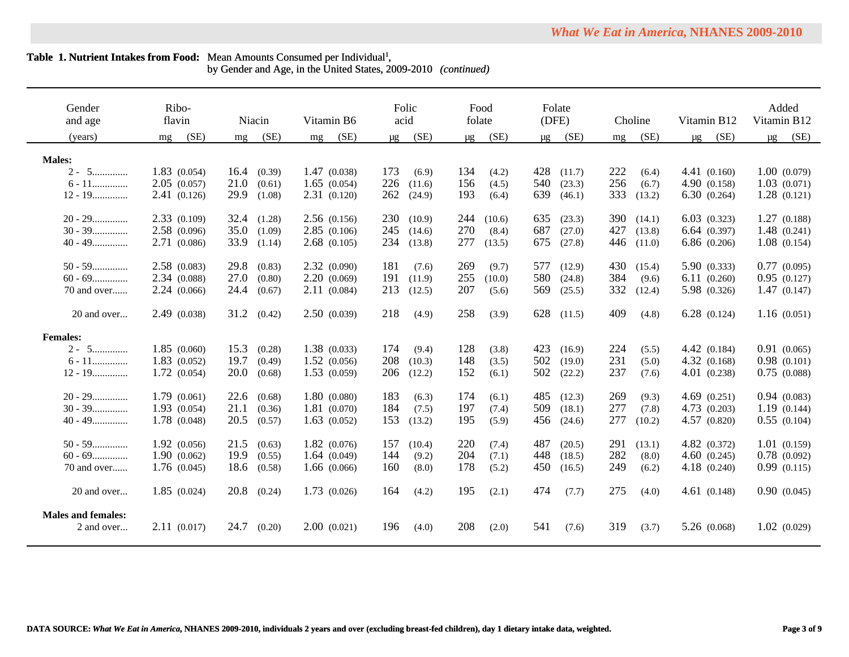by Gender and Age, in the United States, 2009-2010 *(continued)*

| Gender<br>and age                       | Ribo-<br>flavin | Niacin                   | Vitamin B6   | Folic<br>acid   | Food<br>folate        | Folate<br>(DFE) | Choline                | Vitamin B12  | Added<br>Vitamin B12 |
|-----------------------------------------|-----------------|--------------------------|--------------|-----------------|-----------------------|-----------------|------------------------|--------------|----------------------|
| (years)                                 | (SE)<br>mg      | (SE)<br>mg               | (SE)<br>mg   | (SE)<br>$\mu$ g | (SE)<br>μg            | (SE)<br>μg      | (SE)<br>mg             | (SE)<br>μg   | (SE)<br>μg           |
| <b>Males:</b>                           |                 |                          |              |                 |                       |                 |                        |              |                      |
| $2 - 5$                                 | 1.83(0.054)     | 16.4<br>(0.39)           | 1.47(0.038)  | 173<br>(6.9)    | 134<br>(4.2)          | 428<br>(11.7)   | 222<br>(6.4)           | 4.41(0.160)  | 1.00(0.079)          |
| $6 - 11$                                | 2.05(0.057)     | 21.0                     | 1.65(0.054)  | 226<br>(11.6)   | 156                   | 540<br>(23.3)   | 256                    | 4.90(0.158)  | 1.03(0.071)          |
| $12 - 19$                               | 2.41(0.126)     | (0.61)<br>29.9<br>(1.08) | 2.31(0.120)  | 262<br>(24.9)   | (4.5)<br>193<br>(6.4) | 639<br>(46.1)   | (6.7)<br>333<br>(13.2) | 6.30(0.264)  | 1.28(0.121)          |
|                                         |                 |                          |              |                 |                       |                 |                        |              |                      |
| $20 - 29$                               | 2.33(0.109)     | 32.4<br>(1.28)           | 2.56(0.156)  | 230<br>(10.9)   | 244<br>(10.6)         | 635<br>(23.3)   | <b>390</b><br>(14.1)   | 6.03(0.323)  | 1.27(0.188)          |
| $30 - 39$                               | 2.58(0.096)     | 35.0<br>(1.09)           | 2.85(0.106)  | 245<br>(14.6)   | 270<br>(8.4)          | 687<br>(27.0)   | 427<br>(13.8)          | 6.64(0.397)  | 1.48(0.241)          |
| $40 - 49$                               | 2.71 (0.086)    | 33.9<br>(1.14)           | 2.68(0.105)  | 234<br>(13.8)   | 277<br>(13.5)         | 675<br>(27.8)   | 446<br>(11.0)          | 6.86(0.206)  | 1.08(0.154)          |
|                                         |                 |                          |              |                 |                       |                 |                        |              |                      |
| $50 - 59$                               | 2.58(0.083)     | 29.8<br>(0.83)           | 2.32(0.090)  | 181<br>(7.6)    | 269<br>(9.7)          | 577<br>(12.9)   | 430<br>(15.4)          | 5.90(0.333)  | 0.77(0.095)          |
| $60 - 69$                               | 2.34 (0.088)    | 27.0<br>(0.80)           | 2.20(0.069)  | 191<br>(11.9)   | 255<br>(10.0)         | 580<br>(24.8)   | 384<br>(9.6)           | 6.11(0.260)  | 0.95(0.127)          |
| 70 and over                             | 2.24(0.066)     | 24.4<br>(0.67)           | 2.11(0.084)  | 213<br>(12.5)   | 207<br>(5.6)          | 569<br>(25.5)   | 332<br>(12.4)          | 5.98 (0.326) | 1.47(0.147)          |
| 20 and over                             | 2.49(0.038)     | 31.2<br>(0.42)           | 2.50(0.039)  | 218<br>(4.9)    | 258<br>(3.9)          | 628<br>(11.5)   | 409<br>(4.8)           | 6.28(0.124)  | 1.16(0.051)          |
| <b>Females:</b>                         |                 |                          |              |                 |                       |                 |                        |              |                      |
| $2 - 5$                                 | 1.85(0.060)     | 15.3<br>(0.28)           | 1.38(0.033)  | 174<br>(9.4)    | 128<br>(3.8)          | 423<br>(16.9)   | 224<br>(5.5)           | 4.42(0.184)  | 0.91(0.065)          |
| $6 - 11$                                | 1.83(0.052)     | 19.7<br>(0.49)           | 1.52(0.056)  | 208<br>(10.3)   | 148<br>(3.5)          | 502<br>(19.0)   | 231<br>(5.0)           | 4.32(0.168)  | 0.98(0.101)          |
| $12 - 19$                               | 1.72(0.054)     | 20.0<br>(0.68)           | 1.53(0.059)  | 206<br>(12.2)   | 152<br>(6.1)          | 502<br>(22.2)   | 237<br>(7.6)           | 4.01(0.238)  | 0.75(0.088)          |
|                                         |                 |                          |              |                 |                       |                 |                        |              |                      |
| $20 - 29$                               | 1.79(0.061)     | 22.6<br>(0.68)           | 1.80(0.080)  | 183<br>(6.3)    | 174<br>(6.1)          | 485<br>(12.3)   | 269<br>(9.3)           | 4.69(0.251)  | 0.94(0.083)          |
| $30 - 39$                               | 1.93(0.054)     | 21.1<br>(0.36)           | 1.81 (0.070) | 184<br>(7.5)    | 197<br>(7.4)          | 509<br>(18.1)   | 277<br>(7.8)           | 4.73(0.203)  | 1.19(0.144)          |
| $40 - 49$                               | 1.78 (0.048)    | 20.5<br>(0.57)           | 1.63(0.052)  | 153<br>(13.2)   | 195<br>(5.9)          | 456<br>(24.6)   | 277<br>(10.2)          | 4.57(0.820)  | 0.55(0.104)          |
| $50 - 59$                               | 1.92(0.056)     | 21.5<br>(0.63)           | 1.82(0.076)  | 157<br>(10.4)   | 220<br>(7.4)          | 487<br>(20.5)   | 291<br>(13.1)          | 4.82(0.372)  | 1.01(0.159)          |
| $60 - 69$                               | 1.90(0.062)     | 19.9<br>(0.55)           | 1.64(0.049)  | 144<br>(9.2)    | 204<br>(7.1)          | 448<br>(18.5)   | 282<br>(8.0)           | 4.60(0.245)  | 0.78(0.092)          |
| 70 and over                             | 1.76(0.045)     | 18.6<br>(0.58)           | 1.66(0.066)  | 160<br>(8.0)    | 178<br>(5.2)          | 450<br>(16.5)   | 249<br>(6.2)           | 4.18(0.240)  | 0.99(0.115)          |
|                                         |                 |                          |              |                 |                       |                 |                        |              |                      |
| 20 and over                             | 1.85(0.024)     | 20.8<br>(0.24)           | 1.73(0.026)  | 164<br>(4.2)    | 195<br>(2.1)          | 474<br>(7.7)    | 275<br>(4.0)           | 4.61(0.148)  | 0.90(0.045)          |
| <b>Males and females:</b><br>2 and over | 2.11(0.017)     | 24.7<br>(0.20)           | 2.00(0.021)  | 196<br>(4.0)    | 208<br>(2.0)          | 541<br>(7.6)    | 319<br>(3.7)           | 5.26(0.068)  | 1.02(0.029)          |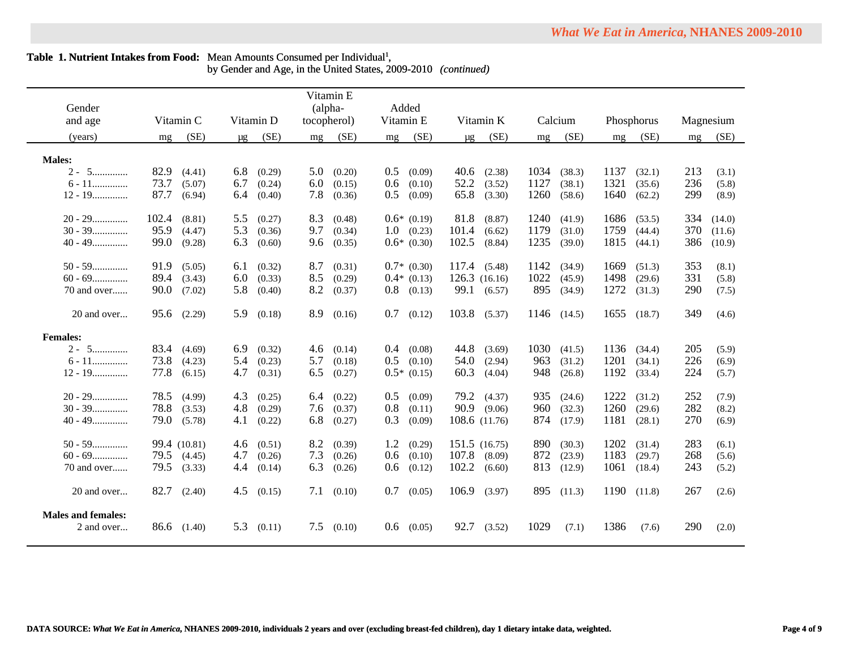| Gender<br>and age                       | Vitamin C                        | Vitamin D                      | Vitamin E<br>(alpha-<br>tocopherol) | Added<br>Vitamin E             | Vitamin K                    | Calcium                        | Phosphorus               | Magnesium             |
|-----------------------------------------|----------------------------------|--------------------------------|-------------------------------------|--------------------------------|------------------------------|--------------------------------|--------------------------|-----------------------|
| (years)                                 | (SE)<br>mg                       | (SE)<br>μg                     | (SE)<br>mg                          | (SE)<br>mg                     | (SE)<br>μg                   | (SE)<br>mg                     | (SE)<br>mg               | (SE)<br>mg            |
| <b>Males:</b>                           |                                  |                                |                                     |                                |                              |                                |                          |                       |
| $2 - 5$                                 | 82.9<br>(4.41)                   | (0.29)<br>6.8                  | 5.0<br>(0.20)                       | 0.5<br>(0.09)                  | 40.6<br>(2.38)               | 1034<br>(38.3)                 | 1137<br>(32.1)           | 213<br>(3.1)          |
| $6 - 11$                                | 73.7<br>(5.07)                   | 6.7<br>(0.24)                  | 6.0<br>(0.15)                       | 0.6<br>(0.10)                  | 52.2<br>(3.52)               | 1127<br>(38.1)                 | 1321<br>(35.6)           | 236<br>(5.8)          |
| $12 - 19$                               | 87.7<br>(6.94)                   | 6.4<br>(0.40)                  | 7.8<br>(0.36)                       | 0.5<br>(0.09)                  | 65.8<br>(3.30)               | 1260<br>(58.6)                 | 1640<br>(62.2)           | 299<br>(8.9)          |
|                                         |                                  |                                |                                     |                                |                              |                                |                          |                       |
| $20 - 29$                               | 102.4<br>(8.81)                  | 5.5<br>(0.27)                  | 8.3<br>(0.48)                       | $0.6*$ (0.19)                  | 81.8<br>(8.87)               | 1240<br>(41.9)                 | 1686<br>(53.5)           | 334<br>(14.0)         |
| $30 - 39$                               | 95.9<br>(4.47)                   | 5.3<br>(0.36)                  | 9.7<br>(0.34)                       | $1.0\quad(0.23)$               | 101.4<br>(6.62)              | 1179<br>(31.0)                 | 1759<br>(44.4)           | 370<br>(11.6)         |
| $40 - 49$                               | 99.0<br>(9.28)                   | 6.3<br>(0.60)                  | 9.6<br>(0.35)                       | $0.6*$ $(0.30)$                | 102.5<br>(8.84)              | 1235<br>(39.0)                 | 1815<br>(44.1)           | 386<br>(10.9)         |
| $50 - 59$                               |                                  |                                |                                     |                                |                              | 1142                           | 1669                     | 353                   |
| $60 - 69$                               | 91.9<br>(5.05)<br>89.4<br>(3.43) | 6.1<br>(0.32)<br>6.0<br>(0.33) | 8.7<br>(0.31)<br>8.5<br>(0.29)      | $0.7*$ (0.30)<br>$0.4*$ (0.13) | 117.4 (5.48)<br>126.3(16.16) | (34.9)<br>1022<br>(45.9)       | (51.3)<br>1498<br>(29.6) | (8.1)<br>331<br>(5.8) |
| 70 and over                             | 90.0<br>(7.02)                   | 5.8<br>(0.40)                  | 8.2<br>(0.37)                       | $0.8$ (0.13)                   | 99.1 (6.57)                  | 895<br>(34.9)                  | 1272<br>(31.3)           | 290<br>(7.5)          |
|                                         |                                  |                                |                                     |                                |                              |                                |                          |                       |
| 20 and over                             | 95.6 (2.29)                      | 5.9<br>(0.18)                  | 8.9<br>(0.16)                       | 0.7<br>(0.12)                  | 103.8 (5.37)                 | 1146 (14.5)                    | 1655<br>(18.7)           | 349<br>(4.6)          |
| <b>Females:</b>                         |                                  |                                |                                     |                                |                              |                                |                          |                       |
| $2 - 5$                                 | 83.4<br>(4.69)                   | 6.9<br>(0.32)                  | 4.6<br>(0.14)                       | (0.08)<br>0.4                  | 44.8<br>(3.69)               | 1030<br>(41.5)                 | 1136<br>(34.4)           | 205<br>(5.9)          |
| $6 - 11$                                | 73.8<br>(4.23)                   | 5.4<br>(0.23)                  | 5.7<br>(0.18)                       | 0.5<br>(0.10)                  | 54.0<br>(2.94)               | 963<br>(31.2)                  | 1201<br>(34.1)           | 226<br>(6.9)          |
| $12 - 19$                               | 77.8<br>(6.15)                   | 4.7<br>(0.31)                  | 6.5<br>(0.27)                       | $0.5*$ (0.15)                  | 60.3<br>(4.04)               | 948<br>(26.8)                  | 1192<br>(33.4)           | 224<br>(5.7)          |
|                                         |                                  |                                |                                     |                                |                              |                                |                          |                       |
| $20 - 29$<br>$30 - 39$                  | 78.5<br>(4.99)<br>78.8           | 4.3<br>(0.25)                  | 6.4<br>(0.22)                       | $0.5^{\circ}$<br>(0.09)        | 79.2 (4.37)<br>90.9 (9.06)   | 935<br>(24.6)                  | 1222<br>(31.2)<br>1260   | 252<br>(7.9)<br>282   |
| $40 - 49$                               | (3.53)<br>79.0<br>(5.78)         | 4.8<br>(0.29)<br>4.1<br>(0.22) | 7.6<br>(0.37)<br>6.8<br>(0.27)      | 0.8<br>(0.11)<br>0.3<br>(0.09) | 108.6 (11.76)                | 960<br>(32.3)<br>874<br>(17.9) | (29.6)<br>1181<br>(28.1) | (8.2)<br>270<br>(6.9) |
|                                         |                                  |                                |                                     |                                |                              |                                |                          |                       |
| $50 - 59$                               | 99.4 (10.81)                     | (0.51)<br>4.6                  | 8.2<br>(0.39)                       | 1.2<br>(0.29)                  | 151.5 (16.75)                | 890<br>(30.3)                  | 1202<br>(31.4)           | 283<br>(6.1)          |
| $60 - 69$                               | $79.5$ $(4.45)$                  | 4.7<br>(0.26)                  | 7.3<br>(0.26)                       | 0.6<br>(0.10)                  | 107.8<br>(8.09)              | 872<br>(23.9)                  | 1183<br>(29.7)           | 268<br>(5.6)          |
| 70 and over                             | 79.5<br>(3.33)                   | 4.4<br>(0.14)                  | 6.3<br>(0.26)                       | 0.6<br>(0.12)                  | 102.2<br>(6.60)              | 813<br>(12.9)                  | 1061<br>(18.4)           | 243<br>(5.2)          |
|                                         |                                  |                                |                                     |                                |                              |                                |                          |                       |
| 20 and over                             | $82.7$ $(2.40)$                  | 4.5<br>(0.15)                  | 7.1<br>(0.10)                       | 0.7<br>(0.05)                  | 106.9<br>(3.97)              | 895<br>(11.3)                  | 1190<br>(11.8)           | 267<br>(2.6)          |
| <b>Males and females:</b><br>2 and over | 86.6 (1.40)                      | 5.3<br>(0.11)                  | 7.5<br>(0.10)                       | $0.6$ $(0.05)$                 | 92.7<br>(3.52)               | 1029<br>(7.1)                  | 1386<br>(7.6)            | <b>290</b><br>(2.0)   |
|                                         |                                  |                                |                                     |                                |                              |                                |                          |                       |

 $\overline{\phantom{a}}$ 

by Gender and Age, in the United States, 2009-2010 *(continued)*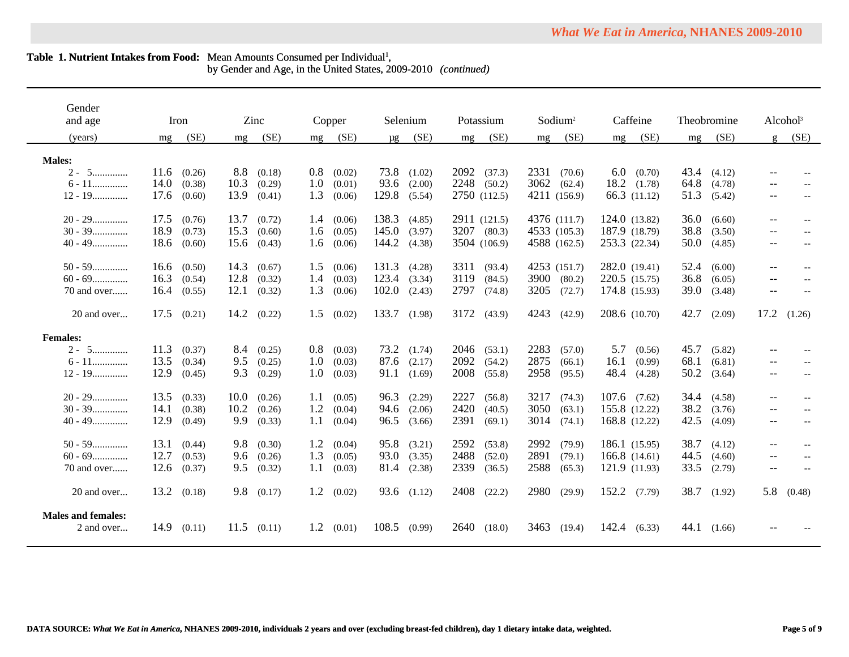by Gender and Age, in the United States, 2009-2010 *(continued)*

| Gender<br>and age                       |      | Iron   |      | Zinc   |         | Copper |                  | Selenium        |      | Potassium    |      | $S$ odium <sup>2</sup> |                  | Caffeine         |             | Theobromine     |                   | Alcohol <sup>3</sup>     |
|-----------------------------------------|------|--------|------|--------|---------|--------|------------------|-----------------|------|--------------|------|------------------------|------------------|------------------|-------------|-----------------|-------------------|--------------------------|
|                                         |      |        |      |        |         |        |                  |                 |      |              |      |                        |                  |                  |             |                 |                   |                          |
| (years)                                 | mg   | (SE)   | mg   | (SE)   | mg      | (SE)   | $\mu$ g          | (SE)            | mg   | (SE)         | mg   | (SE)                   | mg               | (SE)             | mg          | (SE)            | g                 | (SE)                     |
|                                         |      |        |      |        |         |        |                  |                 |      |              |      |                        |                  |                  |             |                 |                   |                          |
| <b>Males:</b><br>$2 - 5$                | 11.6 | (0.26) | 8.8  | (0.18) | $0.8\,$ |        |                  | 73.8 (1.02)     | 2092 | (37.3)       | 2331 | (70.6)                 |                  | $6.0\quad(0.70)$ |             | $43.4$ $(4.12)$ |                   |                          |
|                                         | 14.0 |        | 10.3 |        | 1.0     | (0.02) |                  |                 | 2248 |              |      |                        | 18.2             |                  | 64.8        |                 |                   |                          |
| $6 - 11$                                |      | (0.38) |      | (0.29) |         | (0.01) |                  | 93.6 (2.00)     |      | (50.2)       |      | 3062 (62.4)            |                  | (1.78)           |             | (4.78)          | $- -$             |                          |
| $12 - 19$                               | 17.6 | (0.60) | 13.9 | (0.41) | 1.3     | (0.06) | 129.8            | (5.54)          |      | 2750 (112.5) |      | 4211 (156.9)           |                  | 66.3 (11.12)     | 51.3        | (5.42)          | $--$              |                          |
| $20 - 29$                               | 17.5 | (0.76) | 13.7 | (0.72) | 1.4     | (0.06) | 138.3            | (4.85)          |      | 2911 (121.5) |      | 4376 (111.7)           | 124.0 (13.82)    |                  | 36.0        | (6.60)          | $--$              |                          |
| $30 - 39$                               | 18.9 | (0.73) | 15.3 | (0.60) | 1.6     | (0.05) | 145.0            | (3.97)          |      | 3207 (80.3)  |      | 4533 (105.3)           |                  | 187.9 (18.79)    | 38.8        | (3.50)          | $- -$             |                          |
| $40 - 49$                               | 18.6 | (0.60) | 15.6 | (0.43) | 1.6     | (0.06) | 144.2            | (4.38)          |      | 3504 (106.9) |      | 4588 (162.5)           |                  | 253.3 (22.34)    | 50.0        | (4.85)          | $\qquad \qquad -$ | $\overline{a}$           |
|                                         |      |        |      |        |         |        |                  |                 |      |              |      |                        |                  |                  |             |                 |                   |                          |
| $50 - 59$                               | 16.6 | (0.50) | 14.3 | (0.67) | 1.5     | (0.06) | 131.3            | (4.28)          | 3311 | (93.4)       |      | 4253 (151.7)           | 282.0 (19.41)    |                  | 52.4        | (6.00)          | $- -$             |                          |
| $60 - 69$                               | 16.3 | (0.54) | 12.8 | (0.32) | 1.4     | (0.03) | $123.4$ $(3.34)$ |                 | 3119 | (84.5)       |      | 3900 (80.2)            | 220.5 (15.75)    |                  | 36.8        | (6.05)          | $- -$             |                          |
| 70 and over                             | 16.4 | (0.55) | 12.1 | (0.32) | 1.3     | (0.06) | 102.0            | (2.43)          | 2797 | (74.8)       | 3205 | (72.7)                 |                  | 174.8 (15.93)    | <b>39.0</b> | (3.48)          | $\qquad \qquad -$ |                          |
|                                         |      |        |      |        |         |        |                  |                 |      |              |      |                        |                  |                  |             |                 |                   |                          |
| 20 and over                             | 17.5 | (0.21) | 14.2 | (0.22) | 1.5     | (0.02) | 133.7 (1.98)     |                 | 3172 | (43.9)       | 4243 | (42.9)                 |                  | 208.6 (10.70)    | 42.7        | (2.09)          | 17.2              | (1.26)                   |
|                                         |      |        |      |        |         |        |                  |                 |      |              |      |                        |                  |                  |             |                 |                   |                          |
| <b>Females:</b>                         |      |        |      |        |         |        |                  |                 |      |              |      |                        |                  |                  |             |                 |                   |                          |
| $2 - 5$                                 | 11.3 | (0.37) | 8.4  | (0.25) | 0.8     | (0.03) |                  | $73.2$ $(1.74)$ | 2046 | (53.1)       | 2283 | (57.0)                 | 5.7              | (0.56)           | 45.7        | (5.82)          |                   |                          |
| $6 - 11$                                | 13.5 | (0.34) | 9.5  | (0.25) | 1.0     | (0.03) |                  | $87.6$ $(2.17)$ | 2092 | (54.2)       | 2875 | (66.1)                 | 16.1             | (0.99)           | 68.1        | (6.81)          | $\qquad \qquad -$ |                          |
| $12 - 19$                               | 12.9 | (0.45) | 9.3  | (0.29) | 1.0     | (0.03) |                  | 91.1 (1.69)     | 2008 | (55.8)       | 2958 | (95.5)                 | 48.4             | (4.28)           | 50.2        | (3.64)          | $- -$             | $\overline{\phantom{a}}$ |
|                                         |      |        |      |        |         |        |                  |                 |      |              |      |                        |                  |                  |             |                 |                   |                          |
| $20 - 29$                               | 13.5 | (0.33) | 10.0 | (0.26) | 1.1     | (0.05) |                  | 96.3 (2.29)     | 2227 | (56.8)       | 3217 | (74.3)                 | $107.6$ $(7.62)$ |                  | 34.4        | (4.58)          | $- -$             |                          |
| $30 - 39$                               | 14.1 | (0.38) | 10.2 | (0.26) | 1.2     | (0.04) |                  | 94.6 (2.06)     | 2420 | (40.5)       | 3050 | (63.1)                 | 155.8 (12.22)    |                  | 38.2        | (3.76)          | $--$              |                          |
| $40 - 49$                               | 12.9 | (0.49) | 9.9  | (0.33) | 1.1     | (0.04) | 96.5             | (3.66)          | 2391 | (69.1)       | 3014 | (74.1)                 | 168.8 (12.22)    |                  | 42.5        | (4.09)          | $- -$             | $\overline{a}$           |
|                                         |      |        |      |        |         |        |                  |                 |      |              |      |                        |                  |                  |             |                 |                   |                          |
| $50 - 59$                               | 13.1 | (0.44) | 9.8  | (0.30) | 1.2     | (0.04) |                  | 95.8 (3.21)     | 2592 | (53.8)       | 2992 | (79.9)                 |                  | 186.1 (15.95)    | 38.7        | (4.12)          | $- -$             |                          |
| $60 - 69$                               | 12.7 | (0.53) | 9.6  | (0.26) | 1.3     | (0.05) |                  | $93.0$ $(3.35)$ | 2488 | (52.0)       | 2891 | (79.1)                 | 166.8(14.61)     |                  | 44.5        | (4.60)          | $--$              |                          |
| 70 and over                             | 12.6 | (0.37) | 9.5  | (0.32) | $1.1\,$ | (0.03) | 81.4             | (2.38)          | 2339 | (36.5)       | 2588 | (65.3)                 |                  | 121.9 (11.93)    | 33.5        | (2.79)          | $\qquad \qquad -$ |                          |
|                                         |      |        |      |        |         |        |                  |                 |      |              |      |                        |                  |                  |             |                 |                   |                          |
| 20 and over                             | 13.2 | (0.18) | 9.8  | (0.17) | 1.2     | (0.02) |                  | 93.6 (1.12)     | 2408 | (22.2)       | 2980 | (29.9)                 | 152.2 (7.79)     |                  | 38.7        | (1.92)          | 5.8               | (0.48)                   |
|                                         |      |        |      |        |         |        |                  |                 |      |              |      |                        |                  |                  |             |                 |                   |                          |
| <b>Males and females:</b><br>2 and over | 14.9 | (0.11) | 11.5 | (0.11) | 1.2     | (0.01) | 108.5            | (0.99)          | 2640 | (18.0)       | 3463 | (19.4)                 | 142.4            | (6.33)           | 44.1        | (1.66)          |                   |                          |
|                                         |      |        |      |        |         |        |                  |                 |      |              |      |                        |                  |                  |             |                 |                   |                          |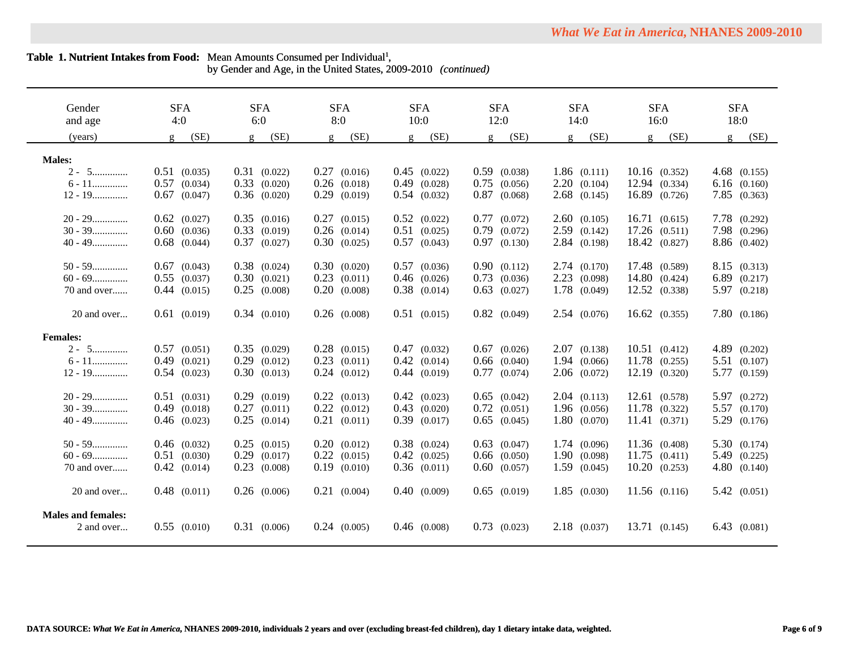$\overline{\phantom{0}}$ 

by Gender and Age, in the United States, 2009-2010 *(continued)*

| Gender<br>and age         | <b>SFA</b><br>4:0    | <b>SFA</b><br>6:0    | <b>SFA</b><br>8:0    | <b>SFA</b><br>10:0   | <b>SFA</b><br>12:0 | <b>SFA</b><br>14:0   | <b>SFA</b><br>16:0   | <b>SFA</b><br>18:0 |
|---------------------------|----------------------|----------------------|----------------------|----------------------|--------------------|----------------------|----------------------|--------------------|
| (years)                   | (SE)<br>$\mathbf{g}$ | (SE)<br>$\mathbf{g}$ | (SE)<br>$\mathbf{g}$ | (SE)<br>$\mathbf{g}$ | (SE)<br>$\sigma$   | (SE)<br>$\mathbf{g}$ | (SE)<br>$\mathbf{g}$ | (SE)<br>g          |
|                           |                      |                      |                      |                      |                    |                      |                      |                    |
| <b>Males:</b>             |                      |                      |                      |                      |                    |                      |                      |                    |
| $2 - 5$                   | $0.51$ $(0.035)$     | $0.31$ $(0.022)$     | 0.27<br>(0.016)      | $0.45$ $(0.022)$     | $0.59$ $(0.038)$   | 1.86(0.111)          | $10.16$ $(0.352)$    | $4.68$ $(0.155)$   |
| $6 - 11$                  | 0.57<br>(0.034)      | $0.33$ $(0.020)$     | $0.26$ $(0.018)$     | $0.49$ $(0.028)$     | 0.75<br>(0.056)    | 2.20(0.104)          | 12.94 (0.334)        | $6.16$ $(0.160)$   |
| $12 - 19$                 | 0.67<br>(0.047)      | $0.36$ $(0.020)$     | 0.29<br>(0.019)      | $0.54$ $(0.032)$     | 0.87<br>(0.068)    | $2.68$ $(0.145)$     | 16.89 (0.726)        | $7.85$ $(0.363)$   |
|                           |                      |                      |                      |                      |                    |                      |                      |                    |
| $20 - 29$                 | $0.62$ $(0.027)$     | $0.35$ $(0.016)$     | $0.27$ $(0.015)$     | $0.52$ $(0.022)$     | $0.77$ $(0.072)$   | 2.60(0.105)          | 16.71(0.615)         | 7.78 (0.292)       |
| $30 - 39$                 | $0.60$ $(0.036)$     | $0.33$ $(0.019)$     | $0.26$ $(0.014)$     | $0.51$ $(0.025)$     | 0.79<br>(0.072)    | $2.59$ $(0.142)$     | $17.26$ $(0.511)$    | 7.98 (0.296)       |
| $40 - 49$                 | $0.68$ $(0.044)$     | $0.37$ $(0.027)$     | $0.30$ $(0.025)$     | $0.57$ $(0.043)$     | $0.97$ $(0.130)$   | 2.84 (0.198)         | 18.42 (0.827)        | 8.86 (0.402)       |
| $50 - 59$                 | $0.67$ $(0.043)$     | $0.38$ $(0.024)$     | 0.30(0.020)          | $0.57$ $(0.036)$     | 0.90(0.112)        | 2.74(0.170)          | 17.48 (0.589)        | 8.15 (0.313)       |
| $60 - 69$                 | $0.55$ $(0.037)$     | 0.30(0.021)          | $0.23$ $(0.011)$     | $0.46$ $(0.026)$     | $0.73$ $(0.036)$   | $2.23$ $(0.098)$     | 14.80 (0.424)        | 6.89 (0.217)       |
| 70 and over               | $0.44$ $(0.015)$     | 0.25<br>(0.008)      | $0.20$ $(0.008)$     | $0.38$ $(0.014)$     | $0.63$ $(0.027)$   | 1.78 (0.049)         | 12.52 (0.338)        | 5.97 (0.218)       |
|                           |                      |                      |                      |                      |                    |                      |                      |                    |
| 20 and over               | $0.61$ $(0.019)$     | 0.34(0.010)          | $0.26$ $(0.008)$     | $0.51$ $(0.015)$     | $0.82$ $(0.049)$   | 2.54(0.076)          | $16.62$ $(0.355)$    | 7.80 (0.186)       |
| <b>Females:</b>           |                      |                      |                      |                      |                    |                      |                      |                    |
| $2 - 5$                   | $0.57$ $(0.051)$     | $0.35$ $(0.029)$     | $0.28$ $(0.015)$     | $0.47$ $(0.032)$     | $0.67$ $(0.026)$   | $2.07$ $(0.138)$     | 10.51(0.412)         | $4.89$ $(0.202)$   |
| $6 - 11$                  | $0.49$ $(0.021)$     | $0.29$ $(0.012)$     | $0.23$ $(0.011)$     | $0.42$ $(0.014)$     | $0.66$ $(0.040)$   | 1.94(0.066)          | 11.78 (0.255)        | $5.51$ (0.107)     |
| $12 - 19$                 | $0.54$ $(0.023)$     | 0.30(0.013)          | $0.24$ $(0.012)$     | $0.44$ $(0.019)$     | $0.77$ $(0.074)$   |                      | 12.19 (0.320)        | 5.77 (0.159)       |
|                           |                      |                      |                      |                      |                    | $2.06$ $(0.072)$     |                      |                    |
| $20 - 29$                 | $0.51$ $(0.031)$     | $0.29$ $(0.019)$     | $0.22$ $(0.013)$     | $0.42$ $(0.023)$     | $0.65$ $(0.042)$   | 2.04(0.113)          | 12.61(0.578)         | 5.97 (0.272)       |
| $30 - 39$                 | $0.49$ $(0.018)$     | 0.27<br>(0.011)      | $0.22$ $(0.012)$     | $0.43$ $(0.020)$     | $0.72$ $(0.051)$   | $1.96$ $(0.056)$     | 11.78 (0.322)        | 5.57 (0.170)       |
| $40 - 49$                 | $0.46$ $(0.023)$     | $0.25$ $(0.014)$     | $0.21$ $(0.011)$     | $0.39$ $(0.017)$     | $0.65$ $(0.045)$   | 1.80(0.070)          | 11.41(0.371)         | 5.29 (0.176)       |
|                           |                      |                      |                      |                      |                    |                      |                      |                    |
| $50 - 59$                 | $0.46$ $(0.032)$     | 0.25<br>(0.015)      | 0.20(0.012)          | $0.38$ $(0.024)$     | $0.63$ $(0.047)$   | 1.74(0.096)          | 11.36 (0.408)        | 5.30(0.174)        |
| $60 - 69$                 | $0.51$ $(0.030)$     | 0.29<br>(0.017)      | 0.22<br>(0.015)      | $0.42$ $(0.025)$     | $0.66$ $(0.050)$   | 1.90(0.098)          | $11.75$ $(0.411)$    | 5.49 (0.225)       |
| 70 and over               | $0.42$ $(0.014)$     | 0.23<br>(0.008)      | $0.19$ $(0.010)$     | $0.36$ $(0.011)$     | $0.60$ $(0.057)$   | $1.59$ $(0.045)$     | 10.20(0.253)         | 4.80 (0.140)       |
| 20 and over               | $0.48$ $(0.011)$     | $0.26$ $(0.006)$     | $0.21$ $(0.004)$     | 0.40(0.009)          | $0.65$ $(0.019)$   | $1.85$ (0.030)       | $11.56$ (0.116)      | 5.42(0.051)        |
|                           |                      |                      |                      |                      |                    |                      |                      |                    |
| <b>Males and females:</b> |                      |                      |                      |                      |                    |                      |                      |                    |
| 2 and over                | $0.55$ $(0.010)$     | $0.31$ $(0.006)$     | $0.24$ $(0.005)$     | $0.46$ (0.008)       | $0.73$ $(0.023)$   | 2.18(0.037)          | 13.71 (0.145)        | $6.43$ $(0.081)$   |
|                           |                      |                      |                      |                      |                    |                      |                      |                    |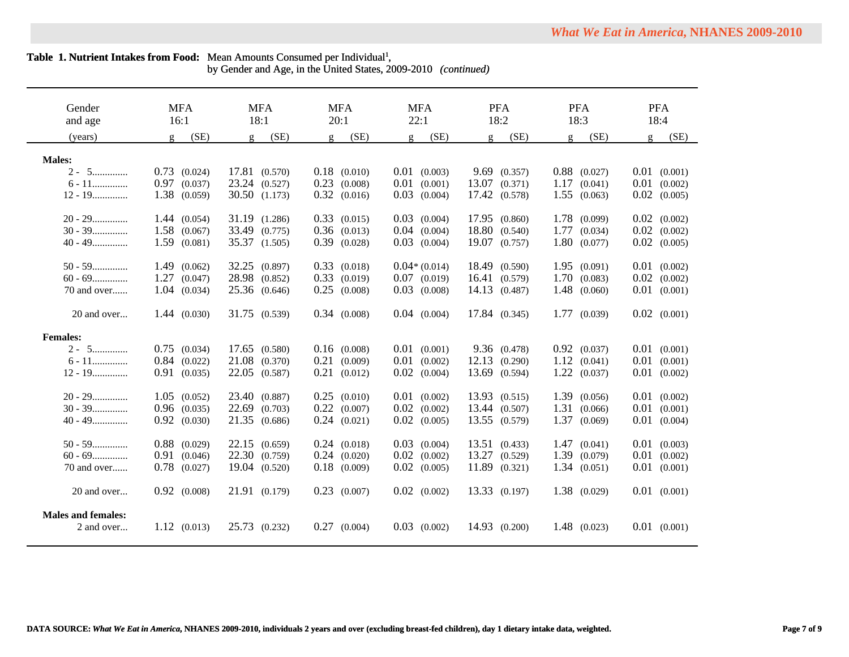$\overline{\phantom{0}}$ 

by Gender and Age, in the United States, 2009-2010 *(continued)*

| Gender                    | <b>MFA</b>             | <b>MFA</b>             | <b>MFA</b>             | <b>MFA</b>             | <b>PFA</b>             | <b>PFA</b>           | <b>PFA</b>             |
|---------------------------|------------------------|------------------------|------------------------|------------------------|------------------------|----------------------|------------------------|
| and age                   | 16:1                   | 18:1                   | 20:1                   | 22:1                   | 18:2                   | 18:3                 | 18:4                   |
| (years)                   | (SE)<br>$\mathfrak{g}$ | (SE)<br>$\mathfrak{g}$ | (SE)<br>$\mathfrak{g}$ | (SE)<br>$\mathfrak{g}$ | (SE)<br>$\mathfrak{g}$ | (SE)<br>$\mathbf{g}$ | (SE)<br>$\mathfrak{g}$ |
| <b>Males:</b>             |                        |                        |                        |                        |                        |                      |                        |
| $2 - 5$                   | $0.73$ $(0.024)$       | 17.81 (0.570)          | $0.18$ $(0.010)$       | $0.01$ $(0.003)$       | 9.69(0.357)            | $0.88$ $(0.027)$     | $0.01$ $(0.001)$       |
| $6 - 11$                  |                        | 23.24 (0.527)          | $0.23$ $(0.008)$       | $0.01$ $(0.001)$       | $13.07$ $(0.371)$      | 1.17<br>(0.041)      | 0.01<br>(0.002)        |
|                           | $0.97$ $(0.037)$       |                        |                        |                        |                        |                      |                        |
| $12 - 19$                 | 1.38 (0.059)           | 30.50 (1.173)          | $0.32$ $(0.016)$       | $0.03$ $(0.004)$       | 17.42 (0.578)          | 1.55(0.063)          | 0.02<br>(0.005)        |
| $20 - 29$                 | 1.44(0.054)            | 31.19 (1.286)          | $0.33$ $(0.015)$       | $0.03$ $(0.004)$       | 17.95 (0.860)          | 1.78 (0.099)         | $0.02$ $(0.002)$       |
| $30 - 39$                 | $1.58$ $(0.067)$       | 33.49 (0.775)          | $0.36$ $(0.013)$       | $0.04$ $(0.004)$       | 18.80 (0.540)          | $1.77$ $(0.034)$     | $0.02$ $(0.002)$       |
| $40 - 49$                 | $1.59$ $(0.081)$       | 35.37 (1.505)          | $0.39$ $(0.028)$       | $0.03$ $(0.004)$       | 19.07 (0.757)          | 1.80(0.077)          | $0.02$ $(0.005)$       |
| $50 - 59$                 | 1.49(0.062)            | 32.25 (0.897)          | $0.33$ $(0.018)$       | $0.04*(0.014)$         | 18.49 (0.590)          | 1.95(0.091)          | $0.01$ $(0.002)$       |
| $60 - 69$                 | 1.27(0.047)            | 28.98 (0.852)          | $0.33$ $(0.019)$       | $0.07$ $(0.019)$       | 16.41 (0.579)          | 1.70(0.083)          | $0.02$ $(0.002)$       |
| 70 and over               | $1.04$ $(0.034)$       | 25.36 (0.646)          | $0.25$ $(0.008)$       | $0.03$ $(0.008)$       | 14.13 (0.487)          | $1.48$ (0.060)       | $0.01$ $(0.001)$       |
|                           |                        |                        |                        |                        |                        |                      |                        |
| 20 and over               | 1.44(0.030)            | 31.75 (0.539)          | $0.34$ $(0.008)$       | $0.04$ $(0.004)$       | 17.84 (0.345)          | 1.77(0.039)          | $0.02$ $(0.001)$       |
| <b>Females:</b>           |                        |                        |                        |                        |                        |                      |                        |
| $2 - 5$                   | $0.75$ $(0.034)$       | 17.65 (0.580)          | $0.16$ $(0.008)$       | $0.01$ $(0.001)$       | 9.36(0.478)            | $0.92$ $(0.037)$     | $0.01$ $(0.001)$       |
| $6 - 11$                  | $0.84$ $(0.022)$       | 21.08 (0.370)          | $0.21$ $(0.009)$       | $0.01$ $(0.002)$       | 12.13(0.290)           | 1.12(0.041)          | 0.01<br>(0.001)        |
| $12 - 19$                 | $0.91$ $(0.035)$       | 22.05 (0.587)          | $0.21$ $(0.012)$       | $0.02$ $(0.004)$       | 13.69 (0.594)          | 1.22(0.037)          | 0.01<br>(0.002)        |
|                           |                        |                        |                        |                        |                        |                      |                        |
| $20 - 29$                 | $1.05$ $(0.052)$       | 23.40 (0.887)          | $0.25$ $(0.010)$       | $0.01$ $(0.002)$       | 13.93 (0.515)          | 1.39 (0.056)         | $0.01$ $(0.002)$       |
| $30 - 39$                 | $0.96$ $(0.035)$       | 22.69 (0.703)          | $0.22$ $(0.007)$       | $0.02$ $(0.002)$       | 13.44 (0.507)          | 1.31(0.066)          | $0.01$ $(0.001)$       |
| $40 - 49$                 | $0.92$ $(0.030)$       | 21.35 (0.686)          | $0.24$ $(0.021)$       | $0.02$ $(0.005)$       | 13.55 (0.579)          | 1.37 (0.069)         | $0.01$ $(0.004)$       |
|                           |                        |                        |                        |                        |                        |                      |                        |
| $50 - 59$                 | $0.88$ $(0.029)$       | 22.15(0.659)           | $0.24$ $(0.018)$       | $0.03$ $(0.004)$       | 13.51(0.433)           | 1.47(0.041)          | $0.01$ $(0.003)$       |
| $60 - 69$                 | $0.91$ $(0.046)$       | 22.30 (0.759)          | $0.24$ $(0.020)$       | $0.02$ $(0.002)$       | 13.27 (0.529)          | 1.39(0.079)          | 0.01<br>(0.002)        |
| 70 and over               | $0.78$ $(0.027)$       | 19.04 (0.520)          | $0.18$ $(0.009)$       | $0.02$ $(0.005)$       | $11.89$ (0.321)        | 1.34(0.051)          | 0.01<br>(0.001)        |
|                           |                        |                        |                        |                        |                        |                      |                        |
| 20 and over               | $0.92$ $(0.008)$       | 21.91 (0.179)          | $0.23$ $(0.007)$       | $0.02$ $(0.002)$       | 13.33 (0.197)          | 1.38 (0.029)         | $0.01$ $(0.001)$       |
|                           |                        |                        |                        |                        |                        |                      |                        |
| <b>Males and females:</b> |                        |                        |                        |                        |                        |                      |                        |
| 2 and over                | 1.12(0.013)            | 25.73 (0.232)          | $0.27$ $(0.004)$       | $0.03$ $(0.002)$       | 14.93 (0.200)          | $1.48$ (0.023)       | $0.01$ $(0.001)$       |
|                           |                        |                        |                        |                        |                        |                      |                        |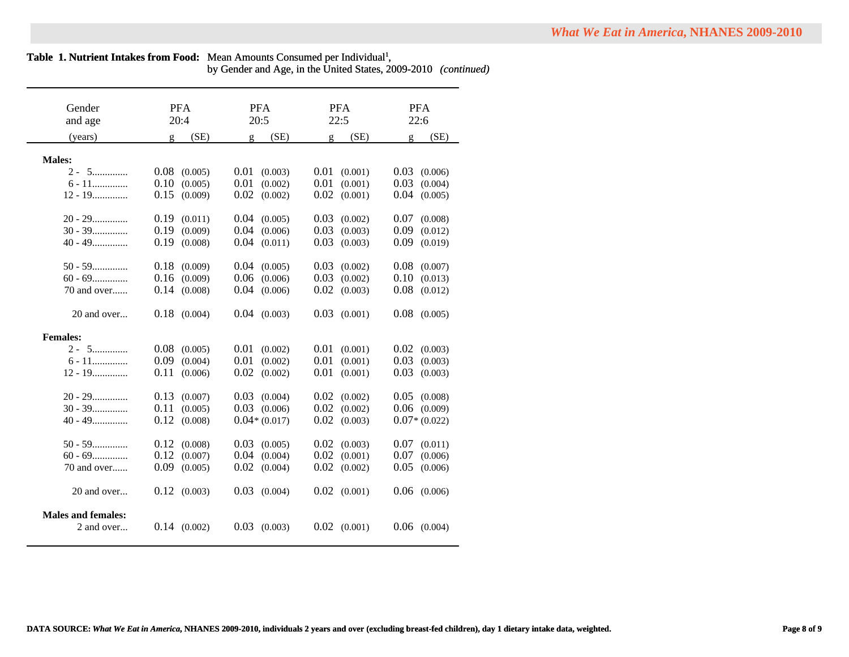| <b>What We Eat in America, NHANES 2009-2010</b> |  |  |
|-------------------------------------------------|--|--|
|-------------------------------------------------|--|--|

|  |  |  |  | by Gender and Age, in the United States, 2009-2010 (continued) |  |  |
|--|--|--|--|----------------------------------------------------------------|--|--|
|--|--|--|--|----------------------------------------------------------------|--|--|

| Gender                    | <b>PFA</b>       | <b>PFA</b>       | <b>PFA</b>       | <b>PFA</b>       |
|---------------------------|------------------|------------------|------------------|------------------|
| and age                   | 20:4             | 20:5             | 22:5             | 22:6             |
| (years)                   | (SE)<br>g        | (SE)<br>Q.       | (SE)<br>Q.       | (SE)<br>g        |
|                           |                  |                  |                  |                  |
| <b>Males:</b>             |                  |                  |                  |                  |
| $2 - 5$                   | 0.08<br>(0.005)  | 0.01<br>(0.003)  | 0.01<br>(0.001)  | 0.03<br>(0.006)  |
| $6 - 11$                  | 0.10<br>(0.005)  | 0.01<br>(0.002)  | 0.01<br>(0.001)  | 0.03<br>(0.004)  |
| $12 - 19$                 | 0.15<br>(0.009)  | 0.02<br>(0.002)  | 0.02<br>(0.001)  | 0.04<br>(0.005)  |
|                           |                  |                  |                  |                  |
| $20 - 29$                 | 0.19<br>(0.011)  | 0.04<br>(0.005)  | 0.03<br>(0.002)  | 0.07<br>(0.008)  |
| $30 - 39$                 | 0.19<br>(0.009)  | 0.04<br>(0.006)  | 0.03<br>(0.003)  | 0.09<br>(0.012)  |
| $40 - 49$                 | 0.19<br>(0.008)  | 0.04<br>(0.011)  | 0.03<br>(0.003)  | 0.09<br>(0.019)  |
|                           |                  |                  |                  |                  |
| $50 - 59$                 | 0.18<br>(0.009)  | 0.04<br>(0.005)  | 0.03<br>(0.002)  | 0.08<br>(0.007)  |
| $60 - 69$                 | 0.16<br>(0.009)  | 0.06<br>(0.006)  | 0.03<br>(0.002)  | 0.10<br>(0.013)  |
| 70 and over               | 0.14<br>(0.008)  | 0.04<br>(0.006)  | 0.02<br>(0.003)  | 0.08<br>(0.012)  |
|                           |                  |                  |                  |                  |
| 20 and over               | $0.18$ $(0.004)$ | $0.04$ $(0.003)$ | 0.03<br>(0.001)  | 0.08<br>(0.005)  |
|                           |                  |                  |                  |                  |
| <b>Females:</b>           |                  |                  |                  |                  |
| $2 - 5$                   | 0.08<br>(0.005)  | 0.01<br>(0.002)  | 0.01<br>(0.001)  | 0.02<br>(0.003)  |
| $6 - 11$                  | 0.09<br>(0.004)  | 0.01<br>(0.002)  | 0.01<br>(0.001)  | 0.03<br>(0.003)  |
| $12 - 19$                 | 0.11<br>(0.006)  | 0.02<br>(0.002)  | 0.01<br>(0.001)  | 0.03<br>(0.003)  |
|                           |                  |                  |                  |                  |
| $20 - 29$                 | 0.13<br>(0.007)  | 0.03<br>(0.004)  | 0.02<br>(0.002)  | 0.05<br>(0.008)  |
| $30 - 39$                 | 0.11<br>(0.005)  | 0.03<br>(0.006)  | 0.02<br>(0.002)  | 0.06<br>(0.009)  |
| $40 - 49$                 | 0.12<br>(0.008)  | $0.04*(0.017)$   | 0.02<br>(0.003)  | $0.07*(0.022)$   |
| $50 - 59$                 | 0.12             | 0.03             | 0.02             |                  |
|                           | (0.008)          | (0.005)          | (0.003)<br>0.02  | 0.07<br>(0.011)  |
| $60 - 69$                 | 0.12<br>(0.007)  | 0.04<br>(0.004)  | (0.001)          | 0.07<br>(0.006)  |
| 70 and over               | 0.09<br>(0.005)  | 0.02<br>(0.004)  | 0.02<br>(0.002)  | 0.05<br>(0.006)  |
| 20 and over               | $0.12$ $(0.003)$ | 0.03             | $0.02$ $(0.001)$ | 0.06             |
|                           |                  | (0.004)          |                  | (0.006)          |
| <b>Males and females:</b> |                  |                  |                  |                  |
| 2 and over                | $0.14$ $(0.002)$ | $0.03$ $(0.003)$ | $0.02$ $(0.001)$ | $0.06$ $(0.004)$ |
|                           |                  |                  |                  |                  |